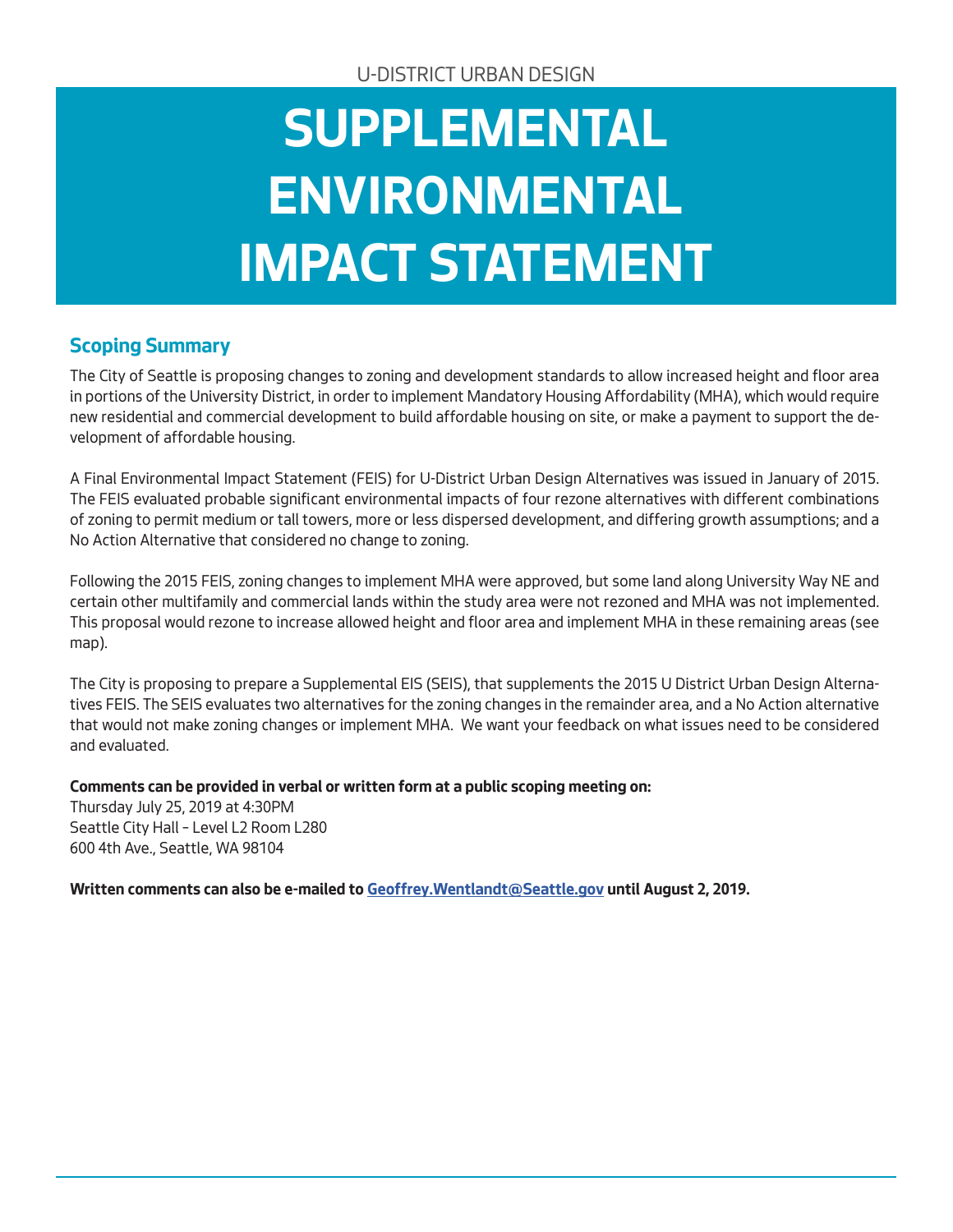# **SUPPLEMENTAL ENVIRONMENTAL IMPACT STATEMENT**

#### **Scoping Summary**

The City of Seattle is proposing changes to zoning and development standards to allow increased height and floor area in portions of the University District, in order to implement Mandatory Housing Affordability (MHA), which would require new residential and commercial development to build affordable housing on site, or make a payment to support the development of affordable housing.

A Final Environmental Impact Statement (FEIS) for U-District Urban Design Alternatives was issued in January of 2015. The FEIS evaluated probable significant environmental impacts of four rezone alternatives with different combinations of zoning to permit medium or tall towers, more or less dispersed development, and differing growth assumptions; and a No Action Alternative that considered no change to zoning.

Following the 2015 FEIS, zoning changes to implement MHA were approved, but some land along University Way NE and certain other multifamily and commercial lands within the study area were not rezoned and MHA was not implemented. This proposal would rezone to increase allowed height and floor area and implement MHA in these remaining areas (see map).

The City is proposing to prepare a Supplemental EIS (SEIS), that supplements the 2015 U District Urban Design Alternatives FEIS. The SEIS evaluates two alternatives for the zoning changes in the remainder area, and a No Action alternative that would not make zoning changes or implement MHA. We want your feedback on what issues need to be considered and evaluated.

**Comments can be provided in verbal or written form at a public scoping meeting on:**

Thursday July 25, 2019 at 4:30PM Seattle City Hall – Level L2 Room L280 600 4th Ave., Seattle, WA 98104

**Written comments can also be e-mailed to Geoffrey.Wentlandt@Seattle.gov until August 2, 2019.**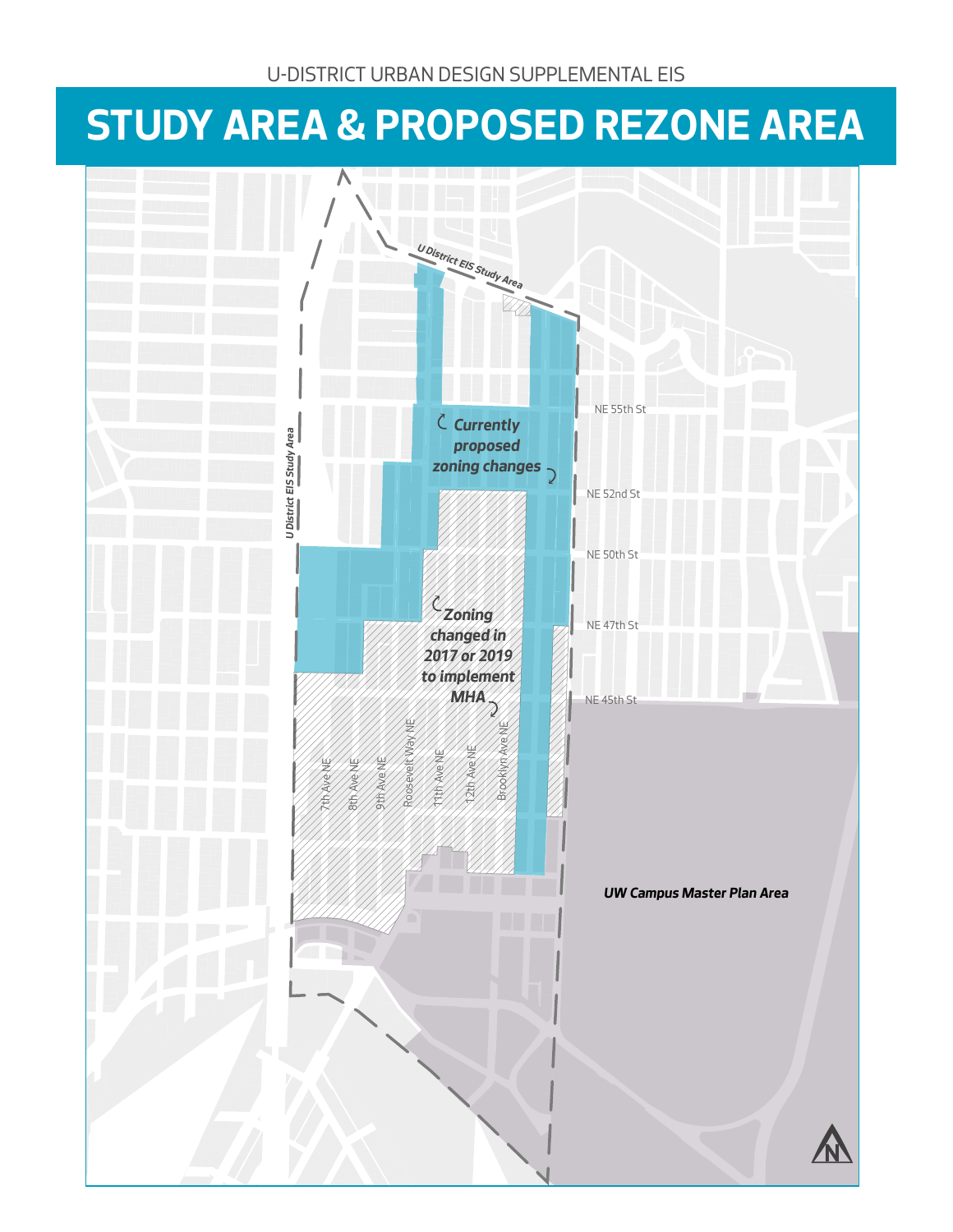### **STUDY AREA & PROPOSED REZONE AREA**

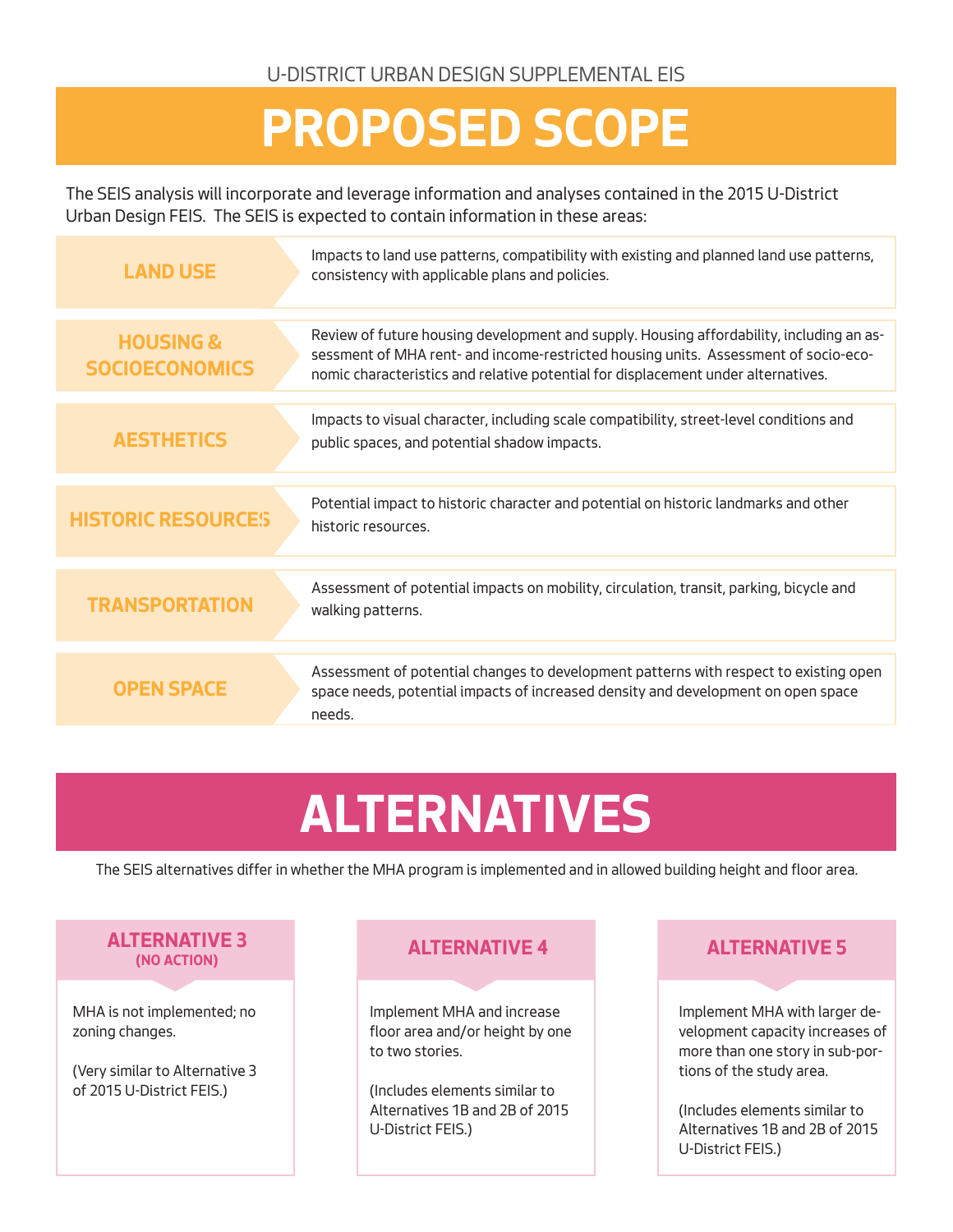### **PROPOSED SCOPE**

The SEIS analysis will incorporate and leverage information and analyses contained in the 2015 U-District Urban Design FEIS. The SEIS is expected to contain information in these areas:

| <b>LAND USE</b>                               | Impacts to land use patterns, compatibility with existing and planned land use patterns,<br>consistency with applicable plans and policies.                                                                                                                          |
|-----------------------------------------------|----------------------------------------------------------------------------------------------------------------------------------------------------------------------------------------------------------------------------------------------------------------------|
| <b>HOUSING &amp;</b><br><b>SOCIOECONOMICS</b> | Review of future housing development and supply. Housing affordability, including an as-<br>sessment of MHA rent- and income-restricted housing units. Assessment of socio-eco-<br>nomic characteristics and relative potential for displacement under alternatives. |
| <b>AESTHETICS</b>                             | Impacts to visual character, including scale compatibility, street-level conditions and<br>public spaces, and potential shadow impacts.                                                                                                                              |
| <b>HISTORIC RESOURCES</b>                     | Potential impact to historic character and potential on historic landmarks and other<br>historic resources.                                                                                                                                                          |
| <b>TRANSPORTATION</b>                         | Assessment of potential impacts on mobility, circulation, transit, parking, bicycle and<br>walking patterns.                                                                                                                                                         |
| <b>OPEN SPACE</b>                             | Assessment of potential changes to development patterns with respect to existing open<br>space needs, potential impacts of increased density and development on open space<br>needs.                                                                                 |
|                                               |                                                                                                                                                                                                                                                                      |

## **ALTERNATIVES**

The SEIS alternatives differ in whether the MHA program is implemented and in allowed building height and floor area.

#### **ALTERNATIVE 3 (NO ACTION)**

MHA is not implemented; no zoning changes.

(Very similar to Alternative 3 of 2015 U-District FEIS.)

#### **ALTERNATIVE 4 ALTERNATIVE 5**

Implement MHA and increase floor area and/or height by one to two stories.

(Includes elements similar to Alternatives 1B and 2B of 2015 U-District FEIS.)

Implement MHA with larger development capacity increases of more than one story in sub-portions of the study area.

(Includes elements similar to Alternatives 1B and 2B of 2015 U-District FEIS.)